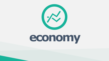

# **economy**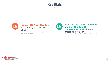## **Key Stats**

 $\bullet\bullet\bullet$ 



## **Highest GDP per Capita** in 2021 of major Canadian cities.

*- The Conference Board of Canada, January 2022; Statistics Canada, 2022*



## **7 of the Top 10 World Banks**  and **7 of the Top 10 Investment Banks** have a presence in Calgary

*- The Banker Top 1000 World Banks, 2021; Investment Banking Scorecard, WSJ, 2021*

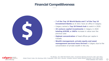# **Financial Competitiveness**

. . .



- **7 of the Top 10 World Banks and 7 of the Top 10 Investment Banks** as of 2021 have an office in Calgary.
- Calgary ranked a **Top 20 fintech hub** to watch in 2020.
- **33 venture capital investments** in Calgary in 2020 **totaling \$353M, a 160%** increase in value over the previous year.
- **Highest concentration** of head offices per capita in Canada.
- **Wealth management, private equity and asset management services have thrived** in Calgary due to the concentration of private wealth in the city.



*The Banker, Top 1000 World Banks 2021; Investment Banking Scorecard, WSJ, April 2021; Global Fintech Index City Rankings 2020, Findexable; 2020 Year in Review: Canadian Venture Capital Market Overview, CVCA, March 2021 FP500 Database 2021 Edition*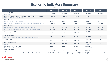# **Economic Indicators Summary**

|                                                                                               | $\cup$ $\cup$ $\cup$ |           |           |                            |         |
|-----------------------------------------------------------------------------------------------|----------------------|-----------|-----------|----------------------------|---------|
|                                                                                               | 2018                 | 2019      | 2020      | 2021                       | 2022F   |
| <b>GDP Growth</b><br>Calgary CMA                                                              | 2.5%                 | 0.9%      | $-7.6%$   | 6.3%                       | 6.6%    |
| Alberta Capital Expenditure on Oil and Gas Extraction<br>(Billions; Table: 34-10-0035-01)     | \$28.6               | \$25.1    | \$16.6    | \$17.1                     |         |
| Price of Oil                                                                                  |                      |           |           |                            |         |
| WTI (EIA STEO Data Browser; \$US/bbl)                                                         | \$65.07              | \$56.99   | \$39.17   | \$68.21                    | \$71.32 |
| WCS (AER ST98; \$US/bbl; Base; Updated Annually; Last Updated August 2021)                    | \$38.46              | \$44.28   | \$26.81   | \$40.00                    | \$41.00 |
| Price of Gas                                                                                  |                      |           |           |                            |         |
| Henry Hub Spot Price (EIA STEO Data Browser; \$US/mmBTU)                                      | \$3.15               | \$2.57    | \$2.03    | \$3.91                     | \$3.79  |
| AECO-C (AER; \$CDN/GJ; Base; Updated Annually; Last Updated June 2020)                        | \$1.48               | \$1.60    | \$2.07    | \$2.83                     | \$2.99  |
| <b>Unemployment Rate</b>                                                                      | 8.1%                 | 7.3%      | 14.4%     | 8.4%                       |         |
| CMA (December)                                                                                |                      |           |           | December 2021              |         |
| <b>Net Migration</b><br>CMA; July 1 to June 30 of previous year; updated annually in February | 14,735               | 20,912    | 21,203    | 6,843                      |         |
| <b>Office Vacancy</b><br>Downtown (Q4)                                                        | 26.4%                | 27.2%     | 29.5%     | 33.2%<br>Q4 2021           |         |
| <b>Building Permits</b><br>CMA (Billions)                                                     | \$5.25               | \$5.34    | \$4.17    | \$6.89<br>YTD June 2021    |         |
| <b>Benchmark Home Price</b><br>All Housing Types (December)                                   | \$408,500            | \$402,000 | \$415,200 | \$455,200<br>December 2021 |         |
| <b>Housing Starts</b><br>Single-Detached                                                      | 3,791                | 3,535     | 3,487     | $3,660 - 4,930$            |         |

*Sources: Alberta Energy Regulator, Bloomberg + Birchcliff Energy Ltd., Canadian Real Estate Association, CBRE Limited, CMHC, The Conference Board of Canada, Industry Canada, Statistics Canada, U.S. Energy Information Administration*

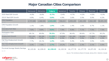# **Major Canadian Cities Comparison**

 $\bullet\bullet\bullet$ 

|                                                     | Vancouver       | <b>Edmonton</b> | <b>Calgary</b> | Saskatoon      | Toronto         | Ottawa         | Montreal       | Canada          |
|-----------------------------------------------------|-----------------|-----------------|----------------|----------------|-----------------|----------------|----------------|-----------------|
| 2020 Real GDP Growth                                | $-4.0%$         | $-6.6%$         | $-5.7%$        | $-3.4%$        | $-4.7%$         | $-4.2%$        | $-4.5%$        | $-5.3%$         |
| 2021F Real GDP Growth                               | 4.9%            | 6.4%            | 5.8%           | 4.9%           | 3.6%            | 3.5%           | 5.0%           | 6.2%            |
| <b>CMA Population</b><br><b>July 2020</b>           | 2,737,698       | 1,468,926       | 1,543,283      | 336,614        | 6,555,205       | 1,461,494      | 4,364,189      | 38,005,238      |
| <b>CMA Population Growth</b><br><b>July 2020</b>    | 1.1%            | 1.8%            | 1.9%           | 1.9%           | 1.4%            | 1.6%           | 0.7%           | 1.1%            |
| Unemployment Rate<br>November 2021                  | 7.6%            | 8.8%            | 9.8%           | 7.9%           | 9.8%            | 7.1%           | 7.5%           | 7.5%            |
| <b>Participation Rate</b><br>November 2021          | 69.1%           | 69.8%           | 70.3%          | 67.9%          | 66.4%           | 69.6%          | 67.7%          | 65.2%           |
| <b>Employment Growth</b><br>November 2021           | 102,100<br>7.2% | 69,200<br>9.7%  | 11,200<br>1.4% | 10,500<br>6.3% | 181,200<br>5.4% | 28,000<br>3.9% | 71,800<br>3.2% | 778,600<br>4.2% |
| <b>Full-Time Employment Growth</b><br>November 2021 | 7.7%            | 10.1%           | 1.4%           | 3.6%           | 5.4%            | 4.4%           | 3.5%           | 4.0%            |
| Part-Time Employment Growth<br>November 2021        | 5.3%            | 7.5%            | 1.7%           | 14.2%          | 5.5%            | 2.3%           | 3.1%           | 5.0%            |
| Provincial Average Weekly Earnings<br>May 2021      | \$1,123.26      | \$1,228.43      | \$1,228.43     | \$1,102.34     | \$1,177.70      | \$1,177.70     | \$1,071.92     | \$1,134.18      |

*Source: The Conference Board of Canada, Spring 2021; Statistics Canada*

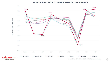#### **Annual Real GDP Growth Rates Across Canada**



ca

6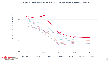#### **Annual Forecasted Real GDP Growth Rates Across Canada**



 $\bullet$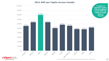**2021 GDP per Capita Across Canada**



ca

а r e

be part of the energy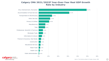### **Calgary CMA 2021/2022F Year-Over-Year Real GDP Growth Rate by Industry**



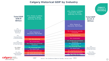## **Calgary Historical GDP by Industry**



development be part of the energy

1987 2021 *Source: The Conference Board of Canada, January 2022*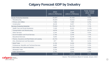## **Calgary Forecast GDP by Industry**

 $\bullet\bullet\bullet$ 

|                                                 | 2022<br>$(2012 \,$ \$ Millions) | 2025<br>$(2012 $$ Millions)                          | Total change<br>2022-2025<br>(9/0) |
|-------------------------------------------------|---------------------------------|------------------------------------------------------|------------------------------------|
| Goods-Producing Industries                      | 55,687                          | 61,426                                               | 9.3%                               |
| Manufacturing                                   | 39,604                          | 44,410                                               | 10.8%                              |
| Primary and Utilities                           | 7,466                           | 7,969                                                | 6.3%                               |
| Construction                                    | 8,618                           | 9,047                                                | 4.7%                               |
| Services-Producing Industries                   | 75,942                          | 81,774                                               | 7.1%                               |
| <b>Health Care and Social Assistance</b>        | 7,329                           | 8,315                                                | 11.9%                              |
| Transportation and Warehousing                  | 6,878                           | 7,647                                                | 10.1%                              |
| <b>Other Services</b>                           | 2,344                           | 2,588                                                | 9.5%                               |
| Accommodation and Food Services                 | 2,750                           | 2,979                                                | 7.7%                               |
| <b>Educational Services</b>                     | 4,693                           | 5,078                                                | 7.6%                               |
| Finance, Insurance and Real Estate and Leasing  | 24,741                          | 26,657                                               | 7.2%                               |
| Arts, Entertainment and Recreation              | 877                             | 934                                                  | 6.1%                               |
| <b>Retail Trade</b>                             | 4,746                           | 5,026                                                | 5.6%                               |
| Professional, Scientific and Technical Services | 8,685                           | 9,171                                                | 5.3%                               |
| Information and Cultural industries             | 3,884                           | 4,070                                                | 4.6%                               |
| <b>Wholesale Trade</b>                          | 5,230                           | 5,474                                                | 4.5%                               |
| Public Administration                           | 3,785                           | 3,835                                                | 1.3%                               |
| All Industries                                  | 131,629                         | 143,200                                              | 8.1%                               |
| $\blacksquare$ economic                         |                                 | Source: The Conference Board of Canada, January 2022 |                                    |



*Source: The Conference Board of Canada, January 2022*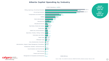#### **Alberta Capital Spending by Industry**